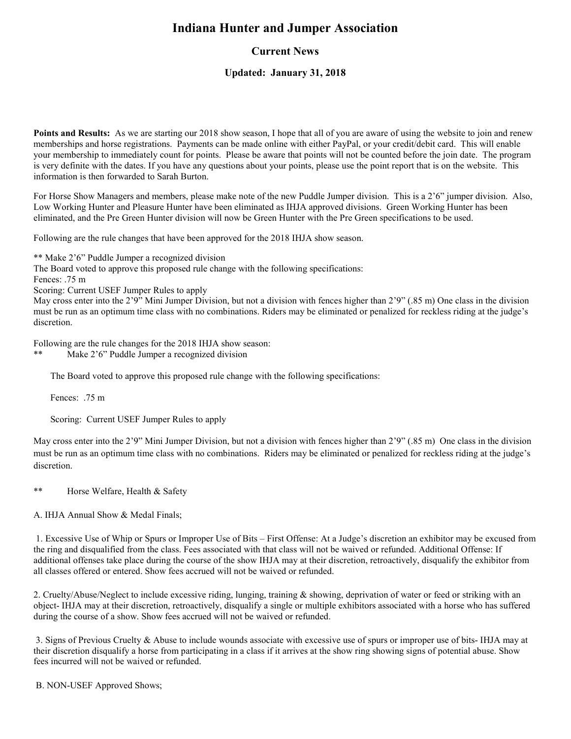# **Indiana Hunter and Jumper Association**

# **Current News**

## **Updated: January 31, 2018**

**Points and Results:** As we are starting our 2018 show season, I hope that all of you are aware of using the website to join and renew memberships and horse registrations. Payments can be made online with either PayPal, or your credit/debit card. This will enable your membership to immediately count for points. Please be aware that points will not be counted before the join date. The program is very definite with the dates. If you have any questions about your points, please use the point report that is on the website. This information is then forwarded to Sarah Burton.

For Horse Show Managers and members, please make note of the new Puddle Jumper division. This is a 2'6" jumper division. Also, Low Working Hunter and Pleasure Hunter have been eliminated as IHJA approved divisions. Green Working Hunter has been eliminated, and the Pre Green Hunter division will now be Green Hunter with the Pre Green specifications to be used.

Following are the rule changes that have been approved for the 2018 IHJA show season.

\*\* Make 2'6" Puddle Jumper a recognized division

The Board voted to approve this proposed rule change with the following specifications:

Fences: .75 m

Scoring: Current USEF Jumper Rules to apply

May cross enter into the 2'9" Mini Jumper Division, but not a division with fences higher than 2'9" (.85 m) One class in the division must be run as an optimum time class with no combinations. Riders may be eliminated or penalized for reckless riding at the judge's discretion.

Following are the rule changes for the 2018 IHJA show season:

\*\* Make 2'6" Puddle Jumper a recognized division

The Board voted to approve this proposed rule change with the following specifications:

Fences: .75 m

Scoring: Current USEF Jumper Rules to apply

May cross enter into the 2'9" Mini Jumper Division, but not a division with fences higher than 2'9" (.85 m) One class in the division must be run as an optimum time class with no combinations. Riders may be eliminated or penalized for reckless riding at the judge's discretion.

\*\* Horse Welfare, Health & Safety

A. IHJA Annual Show & Medal Finals;

 1. Excessive Use of Whip or Spurs or Improper Use of Bits – First Offense: At a Judge's discretion an exhibitor may be excused from the ring and disqualified from the class. Fees associated with that class will not be waived or refunded. Additional Offense: If additional offenses take place during the course of the show IHJA may at their discretion, retroactively, disqualify the exhibitor from all classes offered or entered. Show fees accrued will not be waived or refunded.

2. Cruelty/Abuse/Neglect to include excessive riding, lunging, training & showing, deprivation of water or feed or striking with an object- IHJA may at their discretion, retroactively, disqualify a single or multiple exhibitors associated with a horse who has suffered during the course of a show. Show fees accrued will not be waived or refunded.

 3. Signs of Previous Cruelty & Abuse to include wounds associate with excessive use of spurs or improper use of bits- IHJA may at their discretion disqualify a horse from participating in a class if it arrives at the show ring showing signs of potential abuse. Show fees incurred will not be waived or refunded.

B. NON-USEF Approved Shows;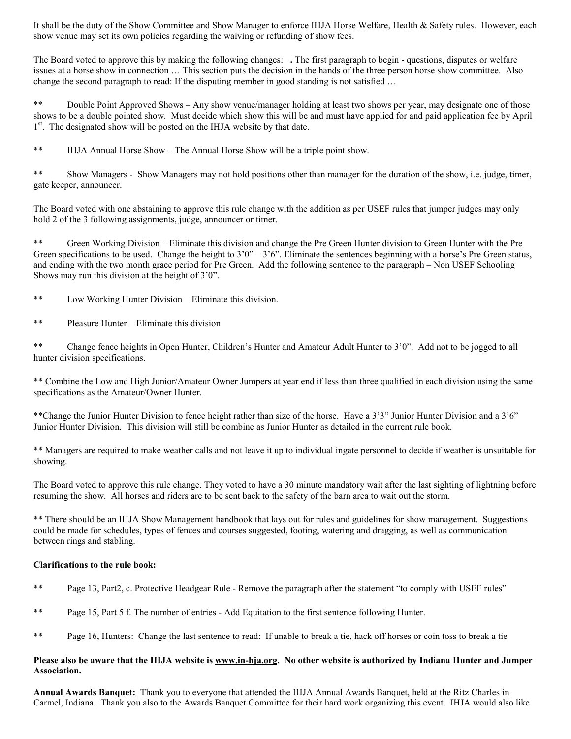It shall be the duty of the Show Committee and Show Manager to enforce IHJA Horse Welfare, Health & Safety rules. However, each show venue may set its own policies regarding the waiving or refunding of show fees.

The Board voted to approve this by making the following changes: **.** The first paragraph to begin - questions, disputes or welfare issues at a horse show in connection … This section puts the decision in the hands of the three person horse show committee. Also change the second paragraph to read: If the disputing member in good standing is not satisfied …

\*\* Double Point Approved Shows – Any show venue/manager holding at least two shows per year, may designate one of those shows to be a double pointed show. Must decide which show this will be and must have applied for and paid application fee by April 1<sup>st</sup>. The designated show will be posted on the IHJA website by that date.

\*\* IHJA Annual Horse Show – The Annual Horse Show will be a triple point show.

\*\* Show Managers - Show Managers may not hold positions other than manager for the duration of the show, i.e. judge, timer, gate keeper, announcer.

The Board voted with one abstaining to approve this rule change with the addition as per USEF rules that jumper judges may only hold 2 of the 3 following assignments, judge, announcer or timer.

\*\* Green Working Division – Eliminate this division and change the Pre Green Hunter division to Green Hunter with the Pre Green specifications to be used. Change the height to  $3'0'' - 3'6''$ . Eliminate the sentences beginning with a horse's Pre Green status, and ending with the two month grace period for Pre Green. Add the following sentence to the paragraph – Non USEF Schooling Shows may run this division at the height of 3'0".

- \*\* Low Working Hunter Division Eliminate this division.
- \*\* Pleasure Hunter Eliminate this division

\*\* Change fence heights in Open Hunter, Children's Hunter and Amateur Adult Hunter to 3'0". Add not to be jogged to all hunter division specifications.

\*\* Combine the Low and High Junior/Amateur Owner Jumpers at year end if less than three qualified in each division using the same specifications as the Amateur/Owner Hunter.

\*\*Change the Junior Hunter Division to fence height rather than size of the horse. Have a 3'3" Junior Hunter Division and a 3'6" Junior Hunter Division. This division will still be combine as Junior Hunter as detailed in the current rule book.

\*\* Managers are required to make weather calls and not leave it up to individual ingate personnel to decide if weather is unsuitable for showing.

The Board voted to approve this rule change. They voted to have a 30 minute mandatory wait after the last sighting of lightning before resuming the show. All horses and riders are to be sent back to the safety of the barn area to wait out the storm.

\*\* There should be an IHJA Show Management handbook that lays out for rules and guidelines for show management. Suggestions could be made for schedules, types of fences and courses suggested, footing, watering and dragging, as well as communication between rings and stabling.

### **Clarifications to the rule book:**

- \*\* Page 13, Part2, c. Protective Headgear Rule Remove the paragraph after the statement "to comply with USEF rules"
- \*\* Page 15, Part 5 f. The number of entries Add Equitation to the first sentence following Hunter.
- \*\* Page 16, Hunters: Change the last sentence to read: If unable to break a tie, hack off horses or coin toss to break a tie

#### **Please also be aware that the IHJA website is www.in-hja.org. No other website is authorized by Indiana Hunter and Jumper Association.**

**Annual Awards Banquet:** Thank you to everyone that attended the IHJA Annual Awards Banquet, held at the Ritz Charles in Carmel, Indiana. Thank you also to the Awards Banquet Committee for their hard work organizing this event. IHJA would also like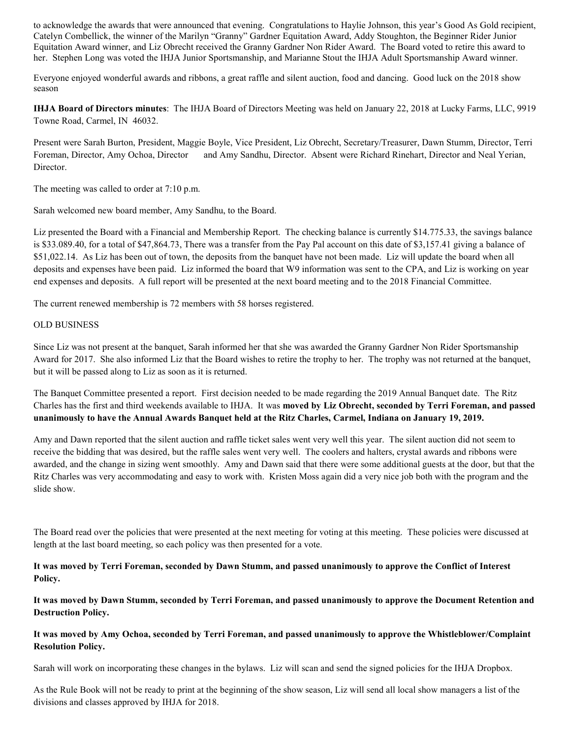to acknowledge the awards that were announced that evening. Congratulations to Haylie Johnson, this year's Good As Gold recipient, Catelyn Combellick, the winner of the Marilyn "Granny" Gardner Equitation Award, Addy Stoughton, the Beginner Rider Junior Equitation Award winner, and Liz Obrecht received the Granny Gardner Non Rider Award. The Board voted to retire this award to her. Stephen Long was voted the IHJA Junior Sportsmanship, and Marianne Stout the IHJA Adult Sportsmanship Award winner.

Everyone enjoyed wonderful awards and ribbons, a great raffle and silent auction, food and dancing. Good luck on the 2018 show season

**IHJA Board of Directors minutes**: The IHJA Board of Directors Meeting was held on January 22, 2018 at Lucky Farms, LLC, 9919 Towne Road, Carmel, IN 46032.

Present were Sarah Burton, President, Maggie Boyle, Vice President, Liz Obrecht, Secretary/Treasurer, Dawn Stumm, Director, Terri Foreman, Director, Amy Ochoa, Director and Amy Sandhu, Director. Absent were Richard Rinehart, Director and Neal Yerian, Director.

The meeting was called to order at 7:10 p.m.

Sarah welcomed new board member, Amy Sandhu, to the Board.

Liz presented the Board with a Financial and Membership Report. The checking balance is currently \$14.775.33, the savings balance is \$33.089.40, for a total of \$47,864.73, There was a transfer from the Pay Pal account on this date of \$3,157.41 giving a balance of \$51,022.14. As Liz has been out of town, the deposits from the banquet have not been made. Liz will update the board when all deposits and expenses have been paid. Liz informed the board that W9 information was sent to the CPA, and Liz is working on year end expenses and deposits. A full report will be presented at the next board meeting and to the 2018 Financial Committee.

The current renewed membership is 72 members with 58 horses registered.

#### OLD BUSINESS

Since Liz was not present at the banquet, Sarah informed her that she was awarded the Granny Gardner Non Rider Sportsmanship Award for 2017. She also informed Liz that the Board wishes to retire the trophy to her. The trophy was not returned at the banquet, but it will be passed along to Liz as soon as it is returned.

The Banquet Committee presented a report. First decision needed to be made regarding the 2019 Annual Banquet date. The Ritz Charles has the first and third weekends available to IHJA. It was **moved by Liz Obrecht, seconded by Terri Foreman, and passed unanimously to have the Annual Awards Banquet held at the Ritz Charles, Carmel, Indiana on January 19, 2019.** 

Amy and Dawn reported that the silent auction and raffle ticket sales went very well this year. The silent auction did not seem to receive the bidding that was desired, but the raffle sales went very well. The coolers and halters, crystal awards and ribbons were awarded, and the change in sizing went smoothly. Amy and Dawn said that there were some additional guests at the door, but that the Ritz Charles was very accommodating and easy to work with. Kristen Moss again did a very nice job both with the program and the slide show.

The Board read over the policies that were presented at the next meeting for voting at this meeting. These policies were discussed at length at the last board meeting, so each policy was then presented for a vote.

**It was moved by Terri Foreman, seconded by Dawn Stumm, and passed unanimously to approve the Conflict of Interest Policy.** 

**It was moved by Dawn Stumm, seconded by Terri Foreman, and passed unanimously to approve the Document Retention and Destruction Policy.** 

### **It was moved by Amy Ochoa, seconded by Terri Foreman, and passed unanimously to approve the Whistleblower/Complaint Resolution Policy.**

Sarah will work on incorporating these changes in the bylaws. Liz will scan and send the signed policies for the IHJA Dropbox.

As the Rule Book will not be ready to print at the beginning of the show season, Liz will send all local show managers a list of the divisions and classes approved by IHJA for 2018.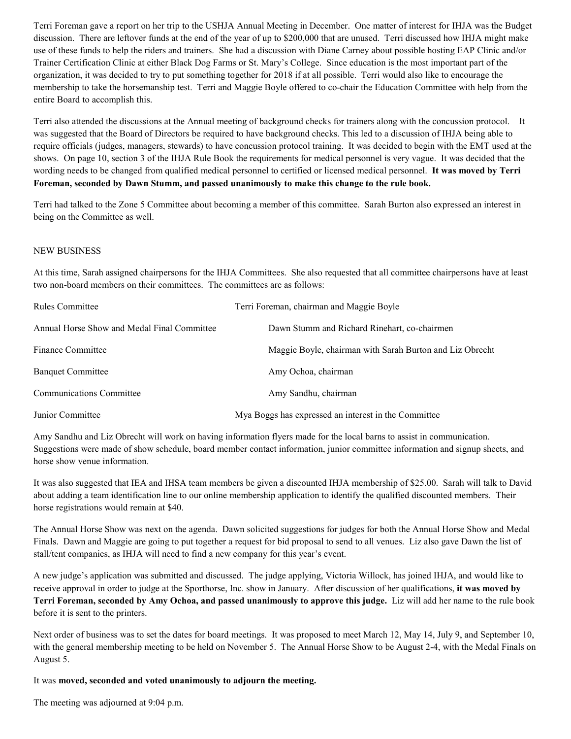Terri Foreman gave a report on her trip to the USHJA Annual Meeting in December. One matter of interest for IHJA was the Budget discussion. There are leftover funds at the end of the year of up to \$200,000 that are unused. Terri discussed how IHJA might make use of these funds to help the riders and trainers. She had a discussion with Diane Carney about possible hosting EAP Clinic and/or Trainer Certification Clinic at either Black Dog Farms or St. Mary's College. Since education is the most important part of the organization, it was decided to try to put something together for 2018 if at all possible. Terri would also like to encourage the membership to take the horsemanship test. Terri and Maggie Boyle offered to co-chair the Education Committee with help from the entire Board to accomplish this.

Terri also attended the discussions at the Annual meeting of background checks for trainers along with the concussion protocol. It was suggested that the Board of Directors be required to have background checks. This led to a discussion of IHJA being able to require officials (judges, managers, stewards) to have concussion protocol training. It was decided to begin with the EMT used at the shows. On page 10, section 3 of the IHJA Rule Book the requirements for medical personnel is very vague. It was decided that the wording needs to be changed from qualified medical personnel to certified or licensed medical personnel. **It was moved by Terri Foreman, seconded by Dawn Stumm, and passed unanimously to make this change to the rule book.**

Terri had talked to the Zone 5 Committee about becoming a member of this committee. Sarah Burton also expressed an interest in being on the Committee as well.

#### NEW BUSINESS

At this time, Sarah assigned chairpersons for the IHJA Committees. She also requested that all committee chairpersons have at least two non-board members on their committees. The committees are as follows:

| <b>Rules Committee</b>                      | Terri Foreman, chairman and Maggie Boyle                 |
|---------------------------------------------|----------------------------------------------------------|
| Annual Horse Show and Medal Final Committee | Dawn Stumm and Richard Rinehart, co-chairmen             |
| <b>Finance Committee</b>                    | Maggie Boyle, chairman with Sarah Burton and Liz Obrecht |
| <b>Banquet Committee</b>                    | Amy Ochoa, chairman                                      |
| <b>Communications Committee</b>             | Amy Sandhu, chairman                                     |
| Junior Committee                            | Mya Boggs has expressed an interest in the Committee     |

Amy Sandhu and Liz Obrecht will work on having information flyers made for the local barns to assist in communication. Suggestions were made of show schedule, board member contact information, junior committee information and signup sheets, and horse show venue information.

It was also suggested that IEA and IHSA team members be given a discounted IHJA membership of \$25.00. Sarah will talk to David about adding a team identification line to our online membership application to identify the qualified discounted members. Their horse registrations would remain at \$40.

The Annual Horse Show was next on the agenda. Dawn solicited suggestions for judges for both the Annual Horse Show and Medal Finals. Dawn and Maggie are going to put together a request for bid proposal to send to all venues. Liz also gave Dawn the list of stall/tent companies, as IHJA will need to find a new company for this year's event.

A new judge's application was submitted and discussed. The judge applying, Victoria Willock, has joined IHJA, and would like to receive approval in order to judge at the Sporthorse, Inc. show in January. After discussion of her qualifications, **it was moved by Terri Foreman, seconded by Amy Ochoa, and passed unanimously to approve this judge.** Liz will add her name to the rule book before it is sent to the printers.

Next order of business was to set the dates for board meetings. It was proposed to meet March 12, May 14, July 9, and September 10, with the general membership meeting to be held on November 5. The Annual Horse Show to be August 2-4, with the Medal Finals on August 5.

It was **moved, seconded and voted unanimously to adjourn the meeting.**

The meeting was adjourned at 9:04 p.m.